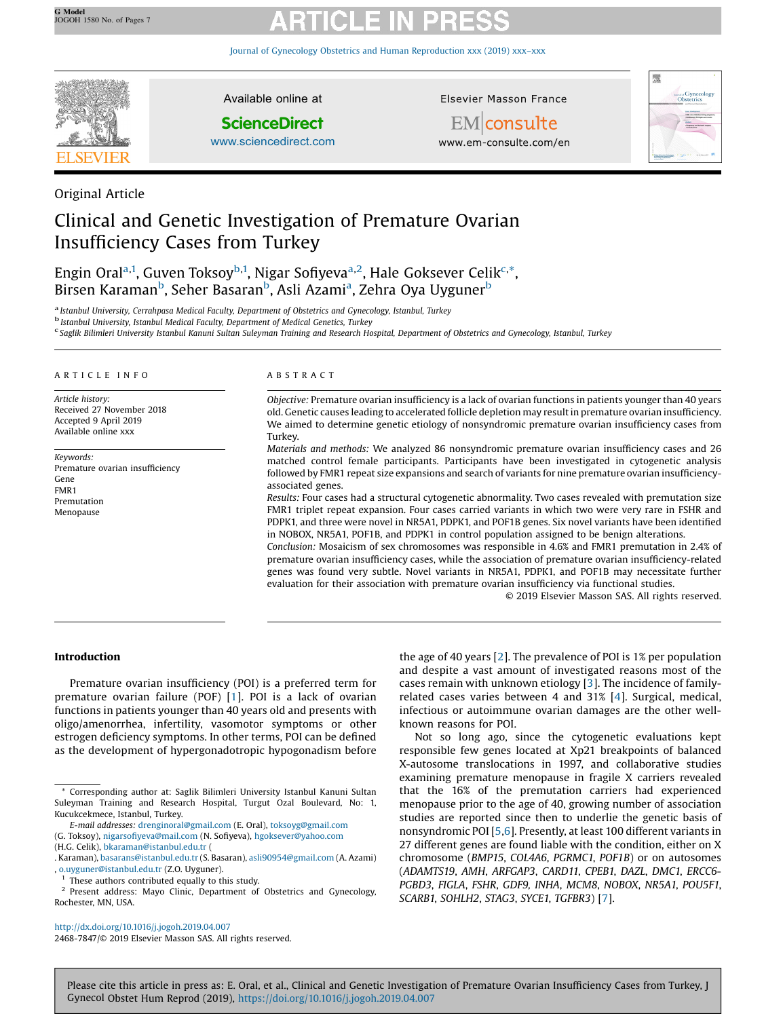Journal of Gynecology Obstetrics and Human [Reproduction](http://dx.doi.org/10.1016/j.jogoh.2019.04.007) xxx (2019) xxx–xxx



Original Article

Available online at

# **ScienceDirect**

[www.sciencedirect.com](http://www.sciencedirect.com/science/journal/24687847)

Elsevier Masson France



EMconsulte www.em-consulte.com/en

# Clinical and Genetic Investigation of Premature Ovarian Insufficiency Cases from Turkey

Engin Oral<sup>a,1</sup>, Guven Toksoy<sup>b,1</sup>, Nigar Sofiyeva<sup>a,2</sup>, Hale Goksever Celik<sup>c,\*</sup>, Birsen Karaman<sup>b</sup>, Seher Basaran<sup>b</sup>, Asli Azami<sup>a</sup>, Zehra Oya Uyguner<sup>b</sup>

a Istanbul University, Cerrahpasa Medical Faculty, Department of Obstetrics and Gynecology, Istanbul, Turkey<br><sup>b</sup> Istanbul University, Istanbul Medical Faculty, Department of Medical Genetics, Turkey

<sup>c</sup> Saglik Bilimleri University Istanbul Kanuni Sultan Suleyman Training and Research Hospital, Department of Obstetrics and Gynecology, Istanbul, Turkey

#### A R T I C L E I N F O

Article history: Received 27 November 2018 Accepted 9 April 2019 Available online xxx

Keywords: Premature ovarian insufficiency Gene FMR1 Premutation Menopause

### A B S T R A C T

Objective: Premature ovarian insufficiency is a lack of ovarian functions in patients younger than 40 years old. Genetic causes leading to accelerated follicle depletion may resultin premature ovarian insufficiency. We aimed to determine genetic etiology of nonsyndromic premature ovarian insufficiency cases from Turkey.

Materials and methods: We analyzed 86 nonsyndromic premature ovarian insufficiency cases and 26 matched control female participants. Participants have been investigated in cytogenetic analysis followed by FMR1 repeat size expansions and search of variants for nine premature ovarian insufficiencyassociated genes.

Results: Four cases had a structural cytogenetic abnormality. Two cases revealed with premutation size FMR1 triplet repeat expansion. Four cases carried variants in which two were very rare in FSHR and PDPK1, and three were novel in NR5A1, PDPK1, and POF1B genes. Six novel variants have been identified in NOBOX, NR5A1, POF1B, and PDPK1 in control population assigned to be benign alterations.

Conclusion: Mosaicism of sex chromosomes was responsible in 4.6% and FMR1 premutation in 2.4% of premature ovarian insufficiency cases, while the association of premature ovarian insufficiency-related genes was found very subtle. Novel variants in NR5A1, PDPK1, and POF1B may necessitate further evaluation for their association with premature ovarian insufficiency via functional studies.

© 2019 Elsevier Masson SAS. All rights reserved.

### Introduction

Premature ovarian insufficiency (POI) is a preferred term for premature ovarian failure (POF) [[1](#page-5-0)]. POI is a lack of ovarian functions in patients younger than 40 years old and presents with oligo/amenorrhea, infertility, vasomotor symptoms or other estrogen deficiency symptoms. In other terms, POI can be defined as the development of hypergonadotropic hypogonadism before

<sup>1</sup> These authors contributed equally to this study.<br> $\frac{2}{5}$  Present, address: Mayo, Clinic, Department of

the age of 40 years [[2](#page-5-0)]. The prevalence of POI is 1% per population and despite a vast amount of investigated reasons most of the cases remain with unknown etiology [[3](#page-5-0)]. The incidence of familyrelated cases varies between 4 and 31% [\[4](#page-5-0)]. Surgical, medical, infectious or autoimmune ovarian damages are the other wellknown reasons for POI.

Not so long ago, since the cytogenetic evaluations kept responsible few genes located at Xp21 breakpoints of balanced X-autosome translocations in 1997, and collaborative studies examining premature menopause in fragile X carriers revealed that the 16% of the premutation carriers had experienced menopause prior to the age of 40, growing number of association studies are reported since then to underlie the genetic basis of nonsyndromic POI [\[5,6](#page-5-0)]. Presently, at least 100 different variants in 27 different genes are found liable with the condition, either on X chromosome (BMP15, COL4A6, PGRMC1, POF1B) or on autosomes (ADAMTS19, AMH, ARFGAP3, CARD11, CPEB1, DAZL, DMC1, ERCC6- PGBD3, FIGLA, FSHR, GDF9, INHA, MCM8, NOBOX, NR5A1, POU5F1, SCARB1, SOHLH2, STAG3, SYCE1, TGFBR3) [\[7](#page-5-0)].

<http://dx.doi.org/10.1016/j.jogoh.2019.04.007>

2468-7847/© 2019 Elsevier Masson SAS. All rights reserved.

<sup>\*</sup> Corresponding author at: Saglik Bilimleri University Istanbul Kanuni Sultan Suleyman Training and Research Hospital, Turgut Ozal Boulevard, No: 1, Kucukcekmece, Istanbul, Turkey.

E-mail addresses: [drenginoral@gmail.com](mailto:drenginoral@gmail.com) (E. Oral), [toksoyg@gmail.com](mailto:toksoyg@gmail.com) (G. Toksoy), nigarsofi[yeva@mail.com](mailto:nigarsofiyeva@mail.com) (N. Sofiyeva), [hgoksever@yahoo.com](mailto:hgoksever@yahoo.com) (H.G. Celik), [bkaraman@istanbul.edu.tr](mailto:bkaraman@istanbul.edu.tr) (

<sup>.</sup> Karaman), [basarans@istanbul.edu.tr](mailto:basarans@istanbul.edu.tr) (S. Basaran), [asli90954@gmail.com](mailto:asli90954@gmail.com) (A. Azami) , [o.uyguner@istanbul.edu.tr](mailto:o.uyguner@istanbul.edu.tr) (Z.O. Uyguner).

Present address: Mayo Clinic, Department of Obstetrics and Gynecology, Rochester, MN, USA.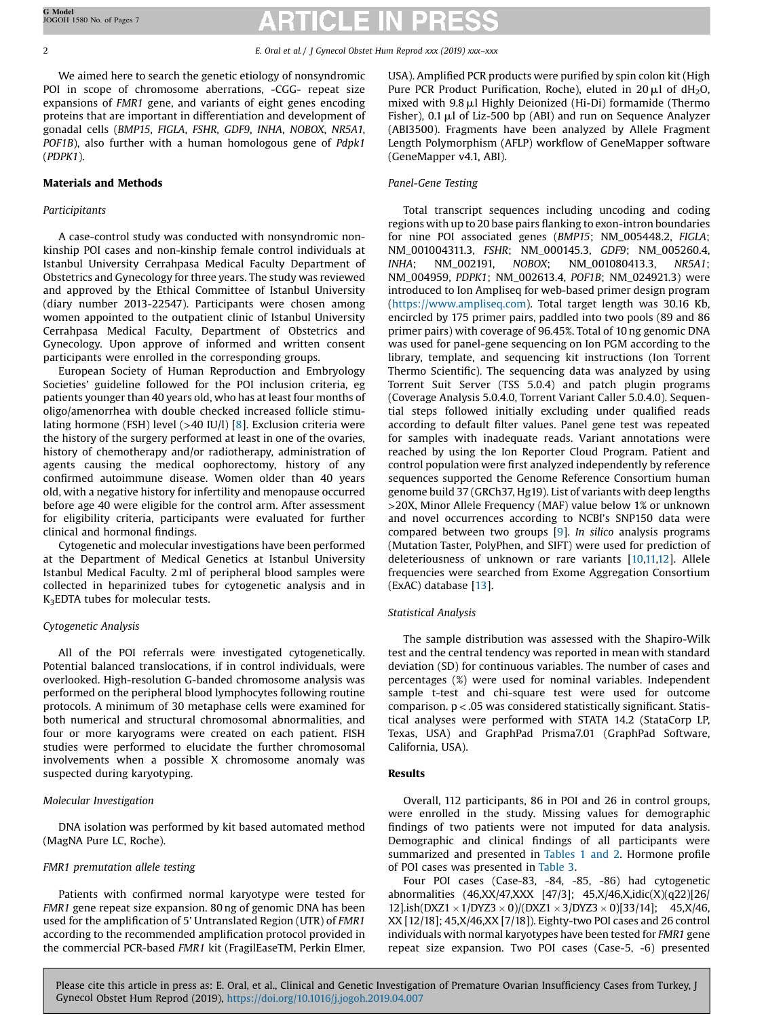We aimed here to search the genetic etiology of nonsyndromic POI in scope of chromosome aberrations, -CGG- repeat size expansions of FMR1 gene, and variants of eight genes encoding proteins that are important in differentiation and development of gonadal cells (BMP15, FIGLA, FSHR, GDF9, INHA, NOBOX, NR5A1, POF1B), also further with a human homologous gene of Pdpk1 (PDPK1).

# Materials and Methods

# Participitants

A case-control study was conducted with nonsyndromic nonkinship POI cases and non-kinship female control individuals at Istanbul University Cerrahpasa Medical Faculty Department of Obstetrics and Gynecology for three years. The study was reviewed and approved by the Ethical Committee of Istanbul University (diary number 2013-22547). Participants were chosen among women appointed to the outpatient clinic of Istanbul University Cerrahpasa Medical Faculty, Department of Obstetrics and Gynecology. Upon approve of informed and written consent participants were enrolled in the corresponding groups.

European Society of Human Reproduction and Embryology Societies' guideline followed for the POI inclusion criteria, eg patients younger than 40 years old, who has at least four months of oligo/amenorrhea with double checked increased follicle stimulating hormone (FSH) level (>40 IU/l) [[8\]](#page-5-0). Exclusion criteria were the history of the surgery performed at least in one of the ovaries, history of chemotherapy and/or radiotherapy, administration of agents causing the medical oophorectomy, history of any confirmed autoimmune disease. Women older than 40 years old, with a negative history for infertility and menopause occurred before age 40 were eligible for the control arm. After assessment for eligibility criteria, participants were evaluated for further clinical and hormonal findings.

Cytogenetic and molecular investigations have been performed at the Department of Medical Genetics at Istanbul University Istanbul Medical Faculty. 2 ml of peripheral blood samples were collected in heparinized tubes for cytogenetic analysis and in K3EDTA tubes for molecular tests.

# Cytogenetic Analysis

All of the POI referrals were investigated cytogenetically. Potential balanced translocations, if in control individuals, were overlooked. High-resolution G-banded chromosome analysis was performed on the peripheral blood lymphocytes following routine protocols. A minimum of 30 metaphase cells were examined for both numerical and structural chromosomal abnormalities, and four or more karyograms were created on each patient. FISH studies were performed to elucidate the further chromosomal involvements when a possible X chromosome anomaly was suspected during karyotyping.

# Molecular Investigation

DNA isolation was performed by kit based automated method (MagNA Pure LC, Roche).

# FMR1 premutation allele testing

Patients with confirmed normal karyotype were tested for FMR1 gene repeat size expansion. 80 ng of genomic DNA has been used for the amplification of 5' Untranslated Region (UTR) of FMR1 according to the recommended amplification protocol provided in the commercial PCR-based FMR1 kit (FragilEaseTM, Perkin Elmer, USA). Amplified PCR products were purified by spin colon kit (High Pure PCR Product Purification, Roche), eluted in  $20 \mu l$  of dH<sub>2</sub>O, mixed with  $9.8 \mu$ l Highly Deionized (Hi-Di) formamide (Thermo Fisher), 0.1  $\mu$ l of Liz-500 bp (ABI) and run on Sequence Analyzer (ABI3500). Fragments have been analyzed by Allele Fragment Length Polymorphism (AFLP) workflow of GeneMapper software (GeneMapper v4.1, ABI).

### Panel-Gene Testing

Total transcript sequences including uncoding and coding regions with up to 20 base pairs flanking to exon-intron boundaries for nine POI associated genes (BMP15; NM\_005448.2, FIGLA; NM\_001004311.3, FSHR; NM\_000145.3, GDF9; NM\_005260.4, INHA; NM\_002191, NOBOX; NM\_001080413.3, NR5A1; NM\_004959, PDPK1; NM\_002613.4, POF1B; NM\_024921.3) were introduced to Ion Ampliseq for web-based primer design program (<https://www.ampliseq.com>). Total target length was 30.16 Kb, encircled by 175 primer pairs, paddled into two pools (89 and 86 primer pairs) with coverage of 96.45%. Total of 10 ng genomic DNA was used for panel-gene sequencing on Ion PGM according to the library, template, and sequencing kit instructions (Ion Torrent Thermo Scientific). The sequencing data was analyzed by using Torrent Suit Server (TSS 5.0.4) and patch plugin programs (Coverage Analysis 5.0.4.0, Torrent Variant Caller 5.0.4.0). Sequential steps followed initially excluding under qualified reads according to default filter values. Panel gene test was repeated for samples with inadequate reads. Variant annotations were reached by using the Ion Reporter Cloud Program. Patient and control population were first analyzed independently by reference sequences supported the Genome Reference Consortium human genome build 37 (GRCh37, Hg19). List of variants with deep lengths >20X, Minor Allele Frequency (MAF) value below 1% or unknown and novel occurrences according to NCBI's SNP150 data were compared between two groups [\[9](#page-5-0)]. In silico analysis programs (Mutation Taster, PolyPhen, and SIFT) were used for prediction of deleteriousness of unknown or rare variants [\[10,11,12](#page-5-0)]. Allele frequencies were searched from Exome Aggregation Consortium (ExAC) database [[13](#page-5-0)].

### Statistical Analysis

The sample distribution was assessed with the Shapiro-Wilk test and the central tendency was reported in mean with standard deviation (SD) for continuous variables. The number of cases and percentages (%) were used for nominal variables. Independent sample t-test and chi-square test were used for outcome comparison. p<.05 was considered statistically significant. Statistical analyses were performed with STATA 14.2 (StataCorp LP, Texas, USA) and GraphPad Prisma7.01 (GraphPad Software, California, USA).

### Results

Overall, 112 participants, 86 in POI and 26 in control groups, were enrolled in the study. Missing values for demographic findings of two patients were not imputed for data analysis. Demographic and clinical findings of all participants were summarized and presented in [Tables](#page-2-0) 1 and 2. Hormone profile of POI cases was presented in [Table](#page-2-0) 3.

Four POI cases (Case-83, -84, -85, -86) had cytogenetic abnormalities (46,XX/47,XXX [47/3]; 45,X/46,X,idic(X)(q22)[26/ 12].ish(DXZ1  $\times$  1/DYZ3  $\times$  0)/(DXZ1  $\times$  3/DYZ3  $\times$  0)[33/14]; 45,X/46, XX [12/18]; 45,X/46,XX [7/18]). Eighty-two POI cases and 26 control individuals with normal karyotypes have been tested for FMR1 gene repeat size expansion. Two POI cases (Case-5, -6) presented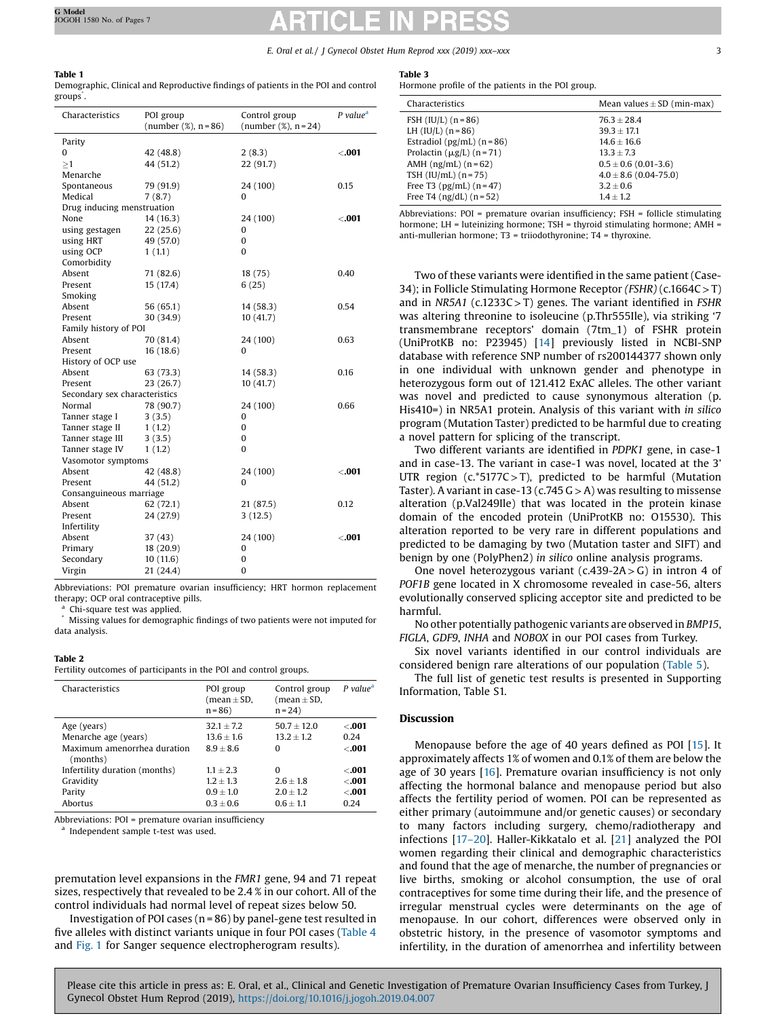# <span id="page-2-0"></span>Table 1

|         | Demographic, Clinical and Reproductive findings of patients in the POI and control |
|---------|------------------------------------------------------------------------------------|
| groups. |                                                                                    |

| Characteristics               | POI group<br>(number $(\%)$ , n = 86) | Control group<br>(number $(\%)$ , n = 24) | $P$ value <sup>a</sup> |  |  |  |
|-------------------------------|---------------------------------------|-------------------------------------------|------------------------|--|--|--|
| Parity                        |                                       |                                           |                        |  |  |  |
| 0                             | 42 (48.8)                             | 2(8.3)                                    | < .001                 |  |  |  |
| >1                            | 44 (51.2)                             | 22 (91.7)                                 |                        |  |  |  |
| Menarche                      |                                       |                                           |                        |  |  |  |
| Spontaneous                   | 79 (91.9)                             | 24 (100)                                  | 0.15                   |  |  |  |
| Medical                       | 7(8.7)                                | 0                                         |                        |  |  |  |
| Drug inducing menstruation    |                                       |                                           |                        |  |  |  |
| None                          | 14 (16.3)                             | 24 (100)                                  | $-001$                 |  |  |  |
| using gestagen                | 22(25.6)                              | 0                                         |                        |  |  |  |
| using HRT                     | 49 (57.0)                             | 0                                         |                        |  |  |  |
| using OCP                     | 1(1.1)                                | $\Omega$                                  |                        |  |  |  |
| Comorbidity                   |                                       |                                           |                        |  |  |  |
| Absent                        | 71 (82.6)                             | 18 (75)                                   | 0.40                   |  |  |  |
| Present                       | 15 (17.4)                             | 6(25)                                     |                        |  |  |  |
| Smoking                       |                                       |                                           |                        |  |  |  |
| Absent                        | 56 (65.1)                             | 14 (58.3)                                 | 0.54                   |  |  |  |
| Present                       | 30 (34.9)                             | 10(41.7)                                  |                        |  |  |  |
| Family history of POI         |                                       |                                           |                        |  |  |  |
| Absent                        | 70 (81.4)                             | 24 (100)                                  | 0.63                   |  |  |  |
| Present                       | 16(18.6)                              | 0                                         |                        |  |  |  |
| History of OCP use            |                                       |                                           |                        |  |  |  |
| Absent                        | 63 (73.3)                             | 14 (58.3)                                 | 0.16                   |  |  |  |
| Present                       | 23 (26.7)                             | 10(41.7)                                  |                        |  |  |  |
| Secondary sex characteristics |                                       |                                           |                        |  |  |  |
| Normal                        | 78 (90.7)                             | 24 (100)                                  | 0.66                   |  |  |  |
| Tanner stage I                | 3(3.5)                                | 0                                         |                        |  |  |  |
| Tanner stage II               | 1(1.2)                                | $\Omega$                                  |                        |  |  |  |
| Tanner stage III              | 3(3.5)                                | 0                                         |                        |  |  |  |
| Tanner stage IV               | 1(1.2)                                | 0                                         |                        |  |  |  |
| Vasomotor symptoms            |                                       |                                           |                        |  |  |  |
| Absent                        | 42 (48.8)                             | 24 (100)                                  | $-001$                 |  |  |  |
| Present                       | 44 (51.2)                             | 0                                         |                        |  |  |  |
| Consanguineous marriage       |                                       |                                           |                        |  |  |  |
| Absent                        | 62 (72.1)                             | 21 (87.5)                                 | 0.12                   |  |  |  |
| Present                       | 24 (27.9)                             | 3(12.5)                                   |                        |  |  |  |
| Infertility                   |                                       |                                           |                        |  |  |  |
| Absent                        | 37 (43)                               | 24 (100)                                  | $-001$                 |  |  |  |
| Primary                       | 18 (20.9)                             | 0                                         |                        |  |  |  |
| Secondary                     | 10(11.6)                              | 0                                         |                        |  |  |  |
| Virgin                        | 21 (24.4)                             | 0                                         |                        |  |  |  |

Abbreviations: POI premature ovarian insufficiency; HRT hormon replacement therapy; OCP oral contraceptive pills.

Chi-square test was applied.

Missing values for demographic findings of two patients were not imputed for data analysis.

#### Table 2

Fertility outcomes of participants in the POI and control groups.

| Characteristics                         | POI group<br>$(mean \pm SD,$<br>$n = 86$ | Control group<br>$(mean \pm SD,$<br>$n = 24$ | $P$ value <sup>a</sup> |
|-----------------------------------------|------------------------------------------|----------------------------------------------|------------------------|
| Age (years)<br>Menarche age (years)     | $32.1 + 7.2$<br>$13.6 + 1.6$             | $50.7 + 12.0$<br>$13.2 + 1.2$                | < 0.01<br>0.24         |
| Maximum amenorrhea duration<br>(months) | $8.9 + 8.6$                              | o                                            | < 0.01                 |
| Infertility duration (months)           | $1.1 + 2.3$                              | O                                            | $<$ .001               |
| Gravidity                               | $1.2 + 1.3$                              | $2.6 + 1.8$                                  | < 0.01                 |
| Parity                                  | $0.9 + 1.0$                              | $2.0 + 1.2$                                  | < 0.01                 |
| Abortus                                 | $0.3 + 0.6$                              | $0.6 + 1.1$                                  | 0.24                   |
|                                         |                                          |                                              |                        |

Abbreviations: POI = premature ovarian insufficiency

<sup>a</sup> Independent sample t-test was used.

premutation level expansions in the FMR1 gene, 94 and 71 repeat sizes, respectively that revealed to be 2.4 % in our cohort. All of the control individuals had normal level of repeat sizes below 50.

Investigation of POI cases ( $n = 86$ ) by panel-gene test resulted in five alleles with distinct variants unique in four POI cases [\(Table](#page-3-0) 4 and [Fig.](#page-3-0) 1 for Sanger sequence electropherogram results).

#### Table 3

Hormone profile of the patients in the POI group.

| Characteristics                    | Mean values $\pm$ SD (min-max) |
|------------------------------------|--------------------------------|
| FSH $(IU/L)$ $(n = 86)$            | $76.3 + 28.4$                  |
| LH $(IU/L)$ $(n = 86)$             | $39.3 + 17.1$                  |
| Estradiol ( $pg/mL$ ) ( $n = 86$ ) | $14.6 \pm 16.6$                |
| Prolactin $(\mu g/L)$ (n = 71)     | $13.3 + 7.3$                   |
| AMH $(ng/mL)$ $(n=62)$             | $0.5 \pm 0.6$ (0.01-3.6)       |
| TSH $(IU/mL)$ $(n = 75)$           | $4.0 \pm 8.6$ (0.04-75.0)      |
| Free T3 ( $pg/mL$ ) ( $n = 47$ )   | $3.2 \pm 0.6$                  |
| Free T4 $(ng/dL)$ $(n = 52)$       | $1.4 + 1.2$                    |
|                                    |                                |

Abbreviations: POI = premature ovarian insufficiency; FSH = follicle stimulating hormone; LH = luteinizing hormone; TSH = thyroid stimulating hormone; AMH = anti-mullerian hormone; T3 = triiodothyronine; T4 = thyroxine.

Two of these variants were identified in the same patient (Case-34); in Follicle Stimulating Hormone Receptor (FSHR) (c.1664C>T) and in NR5A1 (c.1233C>T) genes. The variant identified in FSHR was altering threonine to isoleucine (p.Thr555Ile), via striking '7 transmembrane receptors' domain (7tm\_1) of FSHR protein (UniProtKB no: P23945) [[14](#page-5-0)] previously listed in NCBI-SNP database with reference SNP number of rs200144377 shown only in one individual with unknown gender and phenotype in heterozygous form out of 121.412 ExAC alleles. The other variant was novel and predicted to cause synonymous alteration (p. His410=) in NR5A1 protein. Analysis of this variant with in silico program (Mutation Taster) predicted to be harmful due to creating a novel pattern for splicing of the transcript.

Two different variants are identified in PDPK1 gene, in case-1 and in case-13. The variant in case-1 was novel, located at the 3' UTR region (c.\*5177C>T), predicted to be harmful (Mutation Taster). A variant in case-13 (c.745  $G > A$ ) was resulting to missense alteration (p.Val249Ile) that was located in the protein kinase domain of the encoded protein (UniProtKB no: O15530). This alteration reported to be very rare in different populations and predicted to be damaging by two (Mutation taster and SIFT) and benign by one (PolyPhen2) in silico online analysis programs.

One novel heterozygous variant (c.439-2A> G) in intron 4 of POF1B gene located in X chromosome revealed in case-56, alters evolutionally conserved splicing acceptor site and predicted to be harmful.

No other potentially pathogenic variants are observed in BMP15, FIGLA, GDF9, INHA and NOBOX in our POI cases from Turkey.

Six novel variants identified in our control individuals are considered benign rare alterations of our population [\(Table](#page-4-0) 5).

The full list of genetic test results is presented in Supporting Information, Table S1.

### Discussion

Menopause before the age of 40 years defined as POI [\[15\]](#page-5-0). It approximately affects 1% of women and 0.1% of them are below the age of 30 years [\[16](#page-5-0)]. Premature ovarian insufficiency is not only affecting the hormonal balance and menopause period but also affects the fertility period of women. POI can be represented as either primary (autoimmune and/or genetic causes) or secondary to many factors including surgery, chemo/radiotherapy and infections [17–[20\]](#page-5-0). Haller-Kikkatalo et al. [[21](#page-5-0)] analyzed the POI women regarding their clinical and demographic characteristics and found that the age of menarche, the number of pregnancies or live births, smoking or alcohol consumption, the use of oral contraceptives for some time during their life, and the presence of irregular menstrual cycles were determinants on the age of menopause. In our cohort, differences were observed only in obstetric history, in the presence of vasomotor symptoms and infertility, in the duration of amenorrhea and infertility between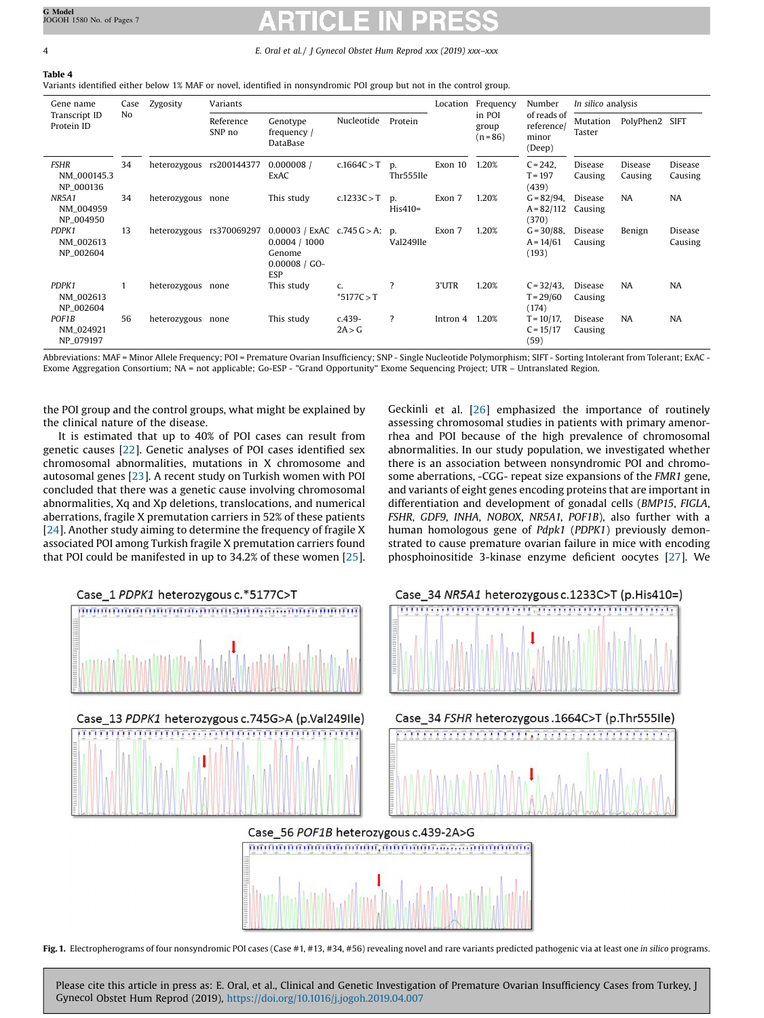<span id="page-3-0"></span>Table 4

Variants identified either below 1% MAF or novel, identified in nonsyndromic POI group but not in the control group.

| Gene name<br>Transcript ID<br>No<br>Protein ID | Case | Zygosity            | Variants                              |                                                                                       |                               | Location        | Frequency                     | Number                                       | In silico analysis                     |                    |                    |                    |
|------------------------------------------------|------|---------------------|---------------------------------------|---------------------------------------------------------------------------------------|-------------------------------|-----------------|-------------------------------|----------------------------------------------|----------------------------------------|--------------------|--------------------|--------------------|
|                                                |      | Reference<br>SNP no | Genotype<br>frequency $/$<br>DataBase | Nucleotide                                                                            | Protein                       |                 | in POI<br>group<br>$(n = 86)$ | of reads of<br>reference/<br>minor<br>(Deep) | Mutation<br>Taster                     | PolyPhen2          | <b>SIFT</b>        |                    |
| <b>FSHR</b><br>NM 000145.3<br>NP_000136        | 34   | heterozygous        | rs200144377                           | 0.000008<br>ExAC                                                                      | c.1664C > T                   | D.<br>Thr555Ile | Exon 10                       | 1.20%                                        | $C = 242$ ,<br>$T = 197$<br>(439)      | Disease<br>Causing | Disease<br>Causing | Disease<br>Causing |
| <b>NR5A1</b><br>NM_004959<br>NP_004950         | 34   | heterozygous none   |                                       | This study                                                                            | c.1233C > T                   | D.<br>$His410=$ | Exon 7                        | 1.20%                                        | $G = 82/94$ ,<br>$A = 82/112$<br>(370) | Disease<br>Causing | <b>NA</b>          | <b>NA</b>          |
| PDPK1<br>NM_002613<br>NP_002604                | 13   |                     | heterozygous rs370069297              | $0.00003$ / ExAC c.745 G > A: p.<br>0.0004 / 1000<br>Genome<br>$0.00008 / GO-$<br>ESP |                               | Val249Ile       | Exon 7                        | 1.20%                                        | $G = 30/88$ ,<br>$A = 14/61$<br>(193)  | Disease<br>Causing | Benign             | Disease<br>Causing |
| PDPK1<br>NM_002613<br>NP_002604                |      | heterozygous none   |                                       | This study                                                                            | $C_{\bullet}$<br>$*5177C > T$ | 7               | 3'UTR                         | 1.20%                                        | $C = 32/43$ ,<br>$T = 29/60$<br>(174)  | Disease<br>Causing | <b>NA</b>          | <b>NA</b>          |
| POF1B<br>NM_024921<br>NP_079197                | 56   | heterozygous none   |                                       | This study                                                                            | $c.439-$<br>2A > G            | $\overline{?}$  | Intron 4                      | 1.20%                                        | $T = 10/17$ ,<br>$C = 15/17$<br>(59)   | Disease<br>Causing | <b>NA</b>          | <b>NA</b>          |

Abbreviations: MAF = Minor Allele Frequency; POI = Premature Ovarian Insufficiency; SNP - Single Nucleotide Polymorphism; SIFT - Sorting Intolerant from Tolerant; ExAC - Exome Aggregation Consortium; NA = not applicable; Go-ESP - "Grand Opportunity" Exome Sequencing Project; UTR – Untranslated Region.

the POI group and the control groups, what might be explained by the clinical nature of the disease.

It is estimated that up to 40% of POI cases can result from genetic causes [[22\]](#page-5-0). Genetic analyses of POI cases identified sex chromosomal abnormalities, mutations in X chromosome and autosomal genes [\[23\]](#page-5-0). A recent study on Turkish women with POI concluded that there was a genetic cause involving chromosomal abnormalities, Xq and Xp deletions, translocations, and numerical aberrations, fragile X premutation carriers in 52% of these patients [[24](#page-5-0)]. Another study aiming to determine the frequency of fragile X associated POI among Turkish fragile X premutation carriers found that POI could be manifested in up to 34.2% of these women [[25\]](#page-5-0). Geckinli et al. [\[26](#page-5-0)] emphasized the importance of routinely assessing chromosomal studies in patients with primary amenorrhea and POI because of the high prevalence of chromosomal abnormalities. In our study population, we investigated whether there is an association between nonsyndromic POI and chromosome aberrations, -CGG- repeat size expansions of the FMR1 gene, and variants of eight genes encoding proteins that are important in differentiation and development of gonadal cells (BMP15, FIGLA, FSHR, GDF9, INHA, NOBOX, NR5A1, POF1B), also further with a human homologous gene of Pdpk1 (PDPK1) previously demonstrated to cause premature ovarian failure in mice with encoding phosphoinositide 3-kinase enzyme deficient oocytes [[27](#page-5-0)]. We



Fig. 1. Electropherograms of four nonsyndromic POI cases (Case #1, #13, #34, #56) revealing novel and rare variants predicted pathogenic via at least one in silico programs.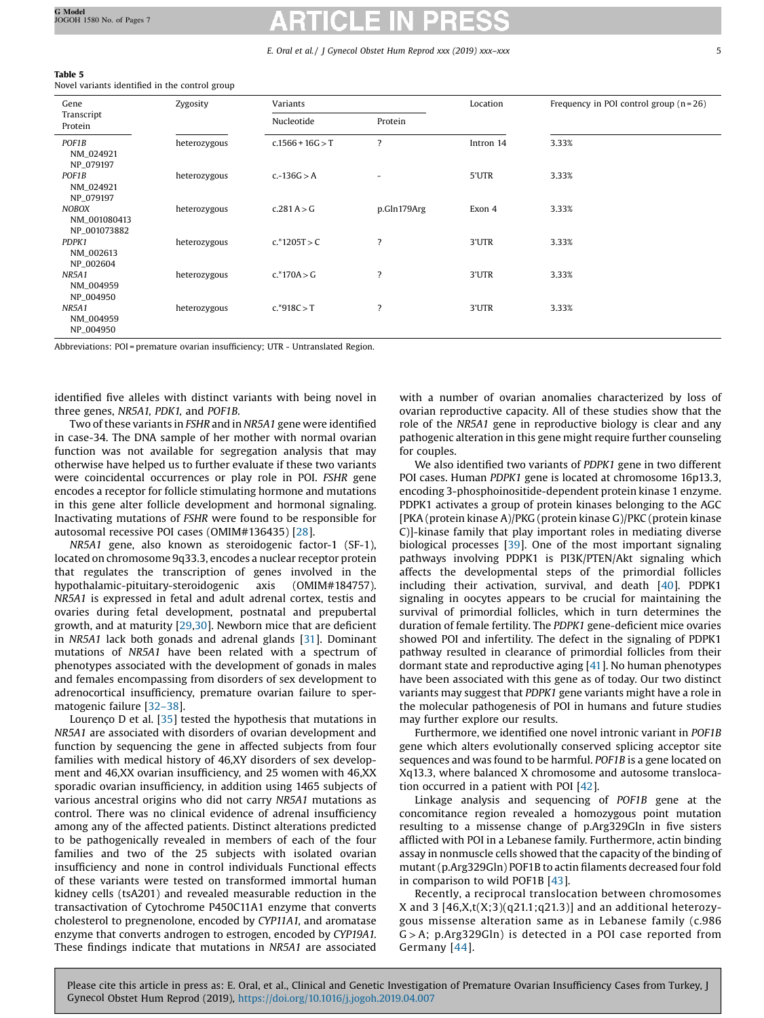<span id="page-4-0"></span>

| $\sim$<br>. .<br>$\sim$ | ۹ |
|-------------------------|---|
|-------------------------|---|

Novel variants identified in the control group

| Gene                                         | Zygosity     | Variants           |                          | Location  | Frequency in POI control group $(n=26)$ |  |  |
|----------------------------------------------|--------------|--------------------|--------------------------|-----------|-----------------------------------------|--|--|
| Transcript<br>Protein                        |              | Nucleotide         | Protein                  |           |                                         |  |  |
| POF1B<br>NM_024921<br>NP_079197              | heterozygous | $c.1566 + 16G > T$ | $\overline{\mathbf{?}}$  | Intron 14 | 3.33%                                   |  |  |
| POF1B<br>NM_024921<br>NP_079197              | heterozygous | $c.-136G > A$      | $\overline{\phantom{a}}$ | 5'UTR     | 3.33%                                   |  |  |
| <b>NOBOX</b><br>NM_001080413<br>NP_001073882 | heterozygous | c.281 A > G        | p.Gln179Arg              | Exon 4    | 3.33%                                   |  |  |
| PDPK1<br>NM_002613<br>NP_002604              | heterozygous | $c.*1205T > C$     | $\overline{?}$           | 3'UTR     | 3.33%                                   |  |  |
| <b>NR5A1</b><br>NM_004959<br>NP_004950       | heterozygous | $c.*170A > G$      | $\overline{\mathbf{?}}$  | 3'UTR     | 3.33%                                   |  |  |
| <b>NR5A1</b><br>NM_004959<br>NP_004950       | heterozygous | $c.*918C > T$      | ?                        | 3'UTR     | 3.33%                                   |  |  |

Abbreviations: POI = premature ovarian insufficiency; UTR - Untranslated Region.

identified five alleles with distinct variants with being novel in three genes, NR5A1, PDK1, and POF1B.

Two of these variants in FSHR and in NR5A1 gene were identified in case-34. The DNA sample of her mother with normal ovarian function was not available for segregation analysis that may otherwise have helped us to further evaluate if these two variants were coincidental occurrences or play role in POI. FSHR gene encodes a receptor for follicle stimulating hormone and mutations in this gene alter follicle development and hormonal signaling. Inactivating mutations of FSHR were found to be responsible for autosomal recessive POI cases (OMIM#136435) [\[28\]](#page-5-0).

NR5A1 gene, also known as steroidogenic factor-1 (SF-1), located on chromosome 9q33.3, encodes a nuclear receptor protein that regulates the transcription of genes involved in the hypothalamic-pituitary-steroidogenic axis (OMIM#184757). NR5A1 is expressed in fetal and adult adrenal cortex, testis and ovaries during fetal development, postnatal and prepubertal growth, and at maturity [\[29,](#page-5-0)[30](#page-6-0)]. Newborn mice that are deficient in NR5A1 lack both gonads and adrenal glands [[31](#page-6-0)]. Dominant mutations of NR5A1 have been related with a spectrum of phenotypes associated with the development of gonads in males and females encompassing from disorders of sex development to adrenocortical insufficiency, premature ovarian failure to spermatogenic failure [32–[38\]](#page-6-0).

Lourenço D et al. [\[35](#page-6-0)] tested the hypothesis that mutations in NR5A1 are associated with disorders of ovarian development and function by sequencing the gene in affected subjects from four families with medical history of 46,XY disorders of sex development and 46,XX ovarian insufficiency, and 25 women with 46,XX sporadic ovarian insufficiency, in addition using 1465 subjects of various ancestral origins who did not carry NR5A1 mutations as control. There was no clinical evidence of adrenal insufficiency among any of the affected patients. Distinct alterations predicted to be pathogenically revealed in members of each of the four families and two of the 25 subjects with isolated ovarian insufficiency and none in control individuals Functional effects of these variants were tested on transformed immortal human kidney cells (tsA201) and revealed measurable reduction in the transactivation of Cytochrome P450C11A1 enzyme that converts cholesterol to pregnenolone, encoded by CYP11A1, and aromatase enzyme that converts androgen to estrogen, encoded by CYP19A1. These findings indicate that mutations in NR5A1 are associated

with a number of ovarian anomalies characterized by loss of ovarian reproductive capacity. All of these studies show that the role of the NR5A1 gene in reproductive biology is clear and any pathogenic alteration in this gene might require further counseling for couples.

We also identified two variants of PDPK1 gene in two different POI cases. Human PDPK1 gene is located at chromosome 16p13.3, encoding 3-phosphoinositide-dependent protein kinase 1 enzyme. PDPK1 activates a group of protein kinases belonging to the AGC [PKA (protein kinase A)/PKG (protein kinase G)/PKC (protein kinase C)]-kinase family that play important roles in mediating diverse biological processes [\[39\]](#page-6-0). One of the most important signaling pathways involving PDPK1 is PI3K/PTEN/Akt signaling which affects the developmental steps of the primordial follicles including their activation, survival, and death [[40](#page-6-0)]. PDPK1 signaling in oocytes appears to be crucial for maintaining the survival of primordial follicles, which in turn determines the duration of female fertility. The PDPK1 gene-deficient mice ovaries showed POI and infertility. The defect in the signaling of PDPK1 pathway resulted in clearance of primordial follicles from their dormant state and reproductive aging [[41](#page-6-0)]. No human phenotypes have been associated with this gene as of today. Our two distinct variants may suggest that PDPK1 gene variants might have a role in the molecular pathogenesis of POI in humans and future studies may further explore our results.

Furthermore, we identified one novel intronic variant in POF1B gene which alters evolutionally conserved splicing acceptor site sequences and was found to be harmful. POF1B is a gene located on Xq13.3, where balanced X chromosome and autosome translocation occurred in a patient with POI [[42](#page-6-0)].

Linkage analysis and sequencing of POF1B gene at the concomitance region revealed a homozygous point mutation resulting to a missense change of p.Arg329Gln in five sisters afflicted with POI in a Lebanese family. Furthermore, actin binding assay in nonmuscle cells showed that the capacity of the binding of mutant (p.Arg329Gln) POF1B to actin filaments decreased four fold in comparison to wild POF1B [\[43\]](#page-6-0).

Recently, a reciprocal translocation between chromosomes X and 3  $[46,X,t(X;3)(q21.1;q21.3)]$  and an additional heterozygous missense alteration same as in Lebanese family (c.986  $G > A$ ; p.Arg329Gln) is detected in a POI case reported from Germany [\[44\]](#page-6-0).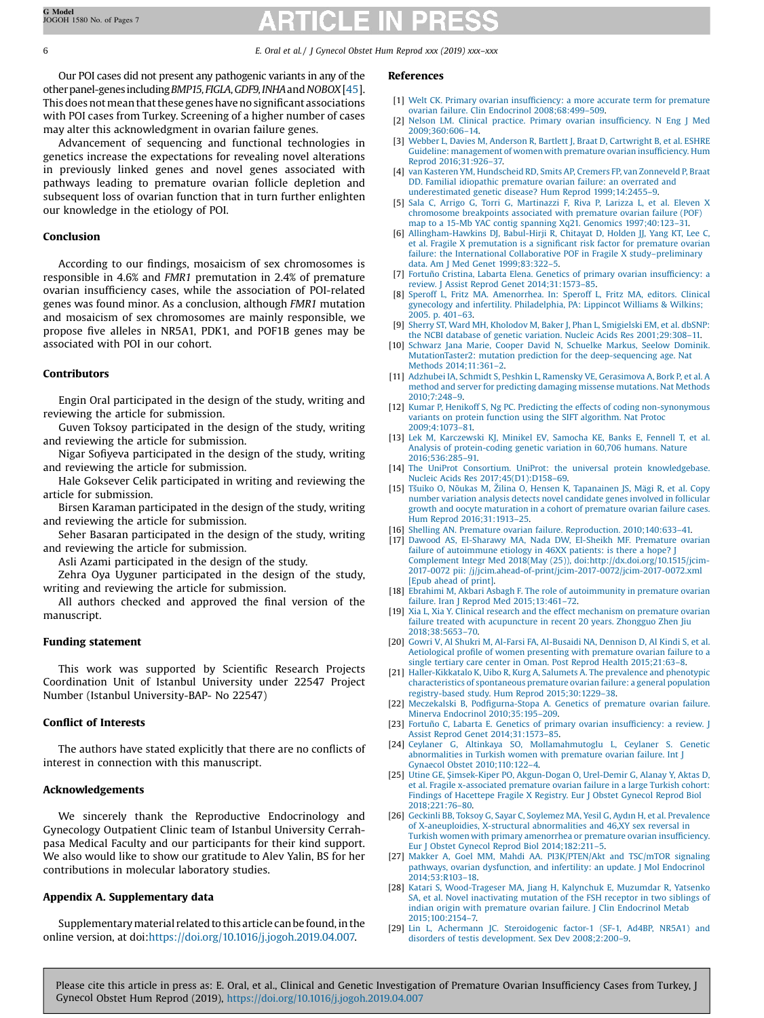<span id="page-5-0"></span>Our POI cases did not present any pathogenic variants in any of the other panel-genes including BMP15, FIGLA, GDF9, INHA and NOBOX [[45\]](#page-6-0). This does not mean that these genes have no significant associations with POI cases from Turkey. Screening of a higher number of cases may alter this acknowledgment in ovarian failure genes.

Advancement of sequencing and functional technologies in genetics increase the expectations for revealing novel alterations in previously linked genes and novel genes associated with pathways leading to premature ovarian follicle depletion and subsequent loss of ovarian function that in turn further enlighten our knowledge in the etiology of POI.

# Conclusion

According to our findings, mosaicism of sex chromosomes is responsible in 4.6% and FMR1 premutation in 2.4% of premature ovarian insufficiency cases, while the association of POI-related genes was found minor. As a conclusion, although FMR1 mutation and mosaicism of sex chromosomes are mainly responsible, we propose five alleles in NR5A1, PDK1, and POF1B genes may be associated with POI in our cohort.

# Contributors

Engin Oral participated in the design of the study, writing and reviewing the article for submission.

Guven Toksoy participated in the design of the study, writing and reviewing the article for submission.

Nigar Sofiyeva participated in the design of the study, writing and reviewing the article for submission.

Hale Goksever Celik participated in writing and reviewing the article for submission.

Birsen Karaman participated in the design of the study, writing and reviewing the article for submission.

Seher Basaran participated in the design of the study, writing and reviewing the article for submission.

Asli Azami participated in the design of the study.

Zehra Oya Uyguner participated in the design of the study, writing and reviewing the article for submission.

All authors checked and approved the final version of the manuscript.

# Funding statement

This work was supported by Scientific Research Projects Coordination Unit of Istanbul University under 22547 Project Number (Istanbul University-BAP- No 22547)

# Conflict of Interests

The authors have stated explicitly that there are no conflicts of interest in connection with this manuscript.

### Acknowledgements

We sincerely thank the Reproductive Endocrinology and Gynecology Outpatient Clinic team of Istanbul University Cerrahpasa Medical Faculty and our participants for their kind support. We also would like to show our gratitude to Alev Yalin, BS for her contributions in molecular laboratory studies.

# Appendix A. Supplementary data

Supplementary material related to this article can be found, in the online version, at doi[:https://doi.org/10.1016/j.jogoh.2019.04.007.](https://doi.org/10.1016/j.jogoh.2019.04.007)

### References

- [1] Welt CK. Primary ovarian insufficiency: a more accurate term for [premature](http://refhub.elsevier.com/S2468-7847(18)30508-7/sbref0005) ovarian failure. Clin Endocrinol [2008;68:499](http://refhub.elsevier.com/S2468-7847(18)30508-7/sbref0005)–509.
- [2] Nelson LM. Clinical [practice.](http://refhub.elsevier.com/S2468-7847(18)30508-7/sbref0010) Primary ovarian insufficiency. N Eng J Med [2009;360:606](http://refhub.elsevier.com/S2468-7847(18)30508-7/sbref0010)–14.
- [3] Webber L, Davies M, Anderson R, Bartlett J, Braat D, [Cartwright](http://refhub.elsevier.com/S2468-7847(18)30508-7/sbref0015) B, et al. ESHRE Guideline: [management](http://refhub.elsevier.com/S2468-7847(18)30508-7/sbref0015) of women with premature ovarian insufficiency. Hum Reprod [2016;31:926](http://refhub.elsevier.com/S2468-7847(18)30508-7/sbref0015)–37.
- [4] van Kasteren YM, [Hundscheid](http://refhub.elsevier.com/S2468-7847(18)30508-7/sbref0020) RD, Smits AP, Cremers FP, van Zonneveld P, Braat DD. Familial idiopathic [premature](http://refhub.elsevier.com/S2468-7847(18)30508-7/sbref0020) ovarian failure: an overrated and [underestimated](http://refhub.elsevier.com/S2468-7847(18)30508-7/sbref0020) genetic disease? Hum Reprod 1999;14:2455–9.
- Sala C, Arrigo G, Torri G, [Martinazzi](http://refhub.elsevier.com/S2468-7847(18)30508-7/sbref0025) F, Riva P, Larizza L, et al. Eleven X [chromosome](http://refhub.elsevier.com/S2468-7847(18)30508-7/sbref0025) breakpoints associated with premature ovarian failure (POF) map to a 15-Mb YAC contig spanning Xq21. Genomics [1997;40:123](http://refhub.elsevier.com/S2468-7847(18)30508-7/sbref0025)–31.
- [6] [Allingham-Hawkins](http://refhub.elsevier.com/S2468-7847(18)30508-7/sbref0030) DJ, Babul-Hirji R, Chitayat D, Holden JJ, Yang KT, Lee C, et al. Fragile X [premutation](http://refhub.elsevier.com/S2468-7847(18)30508-7/sbref0030) is a significant risk factor for premature ovarian failure: the International [Collaborative](http://refhub.elsevier.com/S2468-7847(18)30508-7/sbref0030) POF in Fragile X study–preliminary data. Am J Med Genet [1999;83:322](http://refhub.elsevier.com/S2468-7847(18)30508-7/sbref0030)–5.
- [7] Fortuño Cristina, Labarta Elena. [Genetics](http://refhub.elsevier.com/S2468-7847(18)30508-7/sbref0035) of primary ovarian insufficiency: a review. J Assist Reprod Genet [2014;31:1573](http://refhub.elsevier.com/S2468-7847(18)30508-7/sbref0035)–85.
- [8] Speroff L, Fritz MA. [Amenorrhea.](http://refhub.elsevier.com/S2468-7847(18)30508-7/sbref0040) In: Speroff L, Fritz MA, editors. Clinical gynecology and infertility. [Philadelphia,](http://refhub.elsevier.com/S2468-7847(18)30508-7/sbref0040) PA: Lippincot Williams & Wilkins; [2005.](http://refhub.elsevier.com/S2468-7847(18)30508-7/sbref0040) p. 401–63.
- [9] Sherry ST, Ward MH, Kholodov M, Baker J, Phan L, [Smigielski](http://refhub.elsevier.com/S2468-7847(18)30508-7/sbref0045) EM, et al. dbSNP: the NCBI database of genetic variation. Nucleic Acids Res [2001;29:308](http://refhub.elsevier.com/S2468-7847(18)30508-7/sbref0045)–11.
- [10] Schwarz Jana Marie, Cooper David N, Schuelke Markus, Seelow [Dominik.](http://refhub.elsevier.com/S2468-7847(18)30508-7/sbref0050) [MutationTaster2:](http://refhub.elsevier.com/S2468-7847(18)30508-7/sbref0050) mutation prediction for the deep-sequencing age. Nat Methods [2014;11:361](http://refhub.elsevier.com/S2468-7847(18)30508-7/sbref0050)–2.
- [11] Adzhubei IA, Schmidt S, Peshkin L, Ramensky VE, [Gerasimova](http://refhub.elsevier.com/S2468-7847(18)30508-7/sbref0055) A, Bork P, et al. A method and server for predicting damaging missense [mutations.](http://refhub.elsevier.com/S2468-7847(18)30508-7/sbref0055) Nat Methods [2010;7:248](http://refhub.elsevier.com/S2468-7847(18)30508-7/sbref0055)–9.
- [12] Kumar P, Henikoff S, Ng PC. Predicting the effects of coding [non-synonymous](http://refhub.elsevier.com/S2468-7847(18)30508-7/sbref0060) variants on protein function using the SIFT [algorithm.](http://refhub.elsevier.com/S2468-7847(18)30508-7/sbref0060) Nat Protoc [2009;4:1073](http://refhub.elsevier.com/S2468-7847(18)30508-7/sbref0060)–81.
- [13] Lek M, [Karczewski](http://refhub.elsevier.com/S2468-7847(18)30508-7/sbref0065) KJ, Minikel EV, Samocha KE, Banks E, Fennell T, et al. Analysis of [protein-coding](http://refhub.elsevier.com/S2468-7847(18)30508-7/sbref0065) genetic variation in 60,706 humans. Nature [2016;536:285](http://refhub.elsevier.com/S2468-7847(18)30508-7/sbref0065)–91.
- [14] The UniProt Consortium. UniProt: the universal protein [knowledgebase.](http://refhub.elsevier.com/S2468-7847(18)30508-7/sbref0070) Nucleic Acids Res [2017;45\(D1\):D158](http://refhub.elsevier.com/S2468-7847(18)30508-7/sbref0070)–69.
- [15] Tšuiko O, Nõukas M, Žilina O, Hensen K, [Tapanainen](http://refhub.elsevier.com/S2468-7847(18)30508-7/sbref0075) JS, Mägi R, et al. Copy number variation analysis detects novel [candidate](http://refhub.elsevier.com/S2468-7847(18)30508-7/sbref0075) genes involved in follicular growth and oocyte [maturation](http://refhub.elsevier.com/S2468-7847(18)30508-7/sbref0075) in a cohort of premature ovarian failure cases. Hum Reprod [2016;31:1913](http://refhub.elsevier.com/S2468-7847(18)30508-7/sbref0075)–25.
- [16] Shelling AN. Premature ovarian failure. [Reproduction.](http://refhub.elsevier.com/S2468-7847(18)30508-7/sbref0080) 2010;140:633-41.
- [17] Dawood AS, [El-Sharawy](http://refhub.elsevier.com/S2468-7847(18)30508-7/sbref0085) MA, Nada DW, El-Sheikh MF. Premature ovarian failure of [autoimmune](http://refhub.elsevier.com/S2468-7847(18)30508-7/sbref0085) etiology in 46XX patients: is there a hope? Complement Integr Med 2018(May (25)), [doi:http://dx.doi.org/10.1515/jcim-](http://refhub.elsevier.com/S2468-7847(18)30508-7/sbref0085)2017-0072 pii: [/j/jcim.ahead-of-print/jcim-2017-0072/jcim-2017-0072.xml](http://dx.doi.org/10.1515/jcim-2017-0072) [Epub ahead of [print\].](http://refhub.elsevier.com/S2468-7847(18)30508-7/sbref0085)
- [18] Ebrahimi M, Akbari Asbagh F. The role of [autoimmunity](http://refhub.elsevier.com/S2468-7847(18)30508-7/sbref0090) in premature ovarian failure. Iran J Reprod Med [2015;13:461](http://refhub.elsevier.com/S2468-7847(18)30508-7/sbref0090)–72.
- [19] Xia L, Xia Y. Clinical research and the effect [mechanism](http://refhub.elsevier.com/S2468-7847(18)30508-7/sbref0095) on premature ovarian failure treated with [acupuncture](http://refhub.elsevier.com/S2468-7847(18)30508-7/sbref0095) in recent 20 years. Zhongguo Zhen Jiu [2018;38:5653](http://refhub.elsevier.com/S2468-7847(18)30508-7/sbref0095)–70.
- [20] Gowri V, Al Shukri M, Al-Farsi FA, [Al-Busaidi](http://refhub.elsevier.com/S2468-7847(18)30508-7/sbref0100) NA, Dennison D, Al Kindi S, et al. [Aetiological](http://refhub.elsevier.com/S2468-7847(18)30508-7/sbref0100) profile of women presenting with premature ovarian failure to a single tertiary care center in Oman. Post Reprod Health [2015;21:63](http://refhub.elsevier.com/S2468-7847(18)30508-7/sbref0100)–8.
- [21] [Haller-Kikkatalo](http://refhub.elsevier.com/S2468-7847(18)30508-7/sbref0105) K, Uibo R, Kurg A, Salumets A. The prevalence and phenotypic [characteristics](http://refhub.elsevier.com/S2468-7847(18)30508-7/sbref0105) of spontaneous premature ovarian failure: a general population [registry-based](http://refhub.elsevier.com/S2468-7847(18)30508-7/sbref0105) study. Hum Reprod 2015;30:1229–38.
- [22] Meczekalski B, Podfi[gurna-Stopa](http://refhub.elsevier.com/S2468-7847(18)30508-7/sbref0110) A. Genetics of premature ovarian failure. Minerva Endocrinol [2010;35:195](http://refhub.elsevier.com/S2468-7847(18)30508-7/sbref0110)–209.
- [23] Fortuño C, Labarta E. [Genetics](http://refhub.elsevier.com/S2468-7847(18)30508-7/sbref0115) of primary ovarian insufficiency: a review. J Assist Reprod Genet [2014;31:1573](http://refhub.elsevier.com/S2468-7847(18)30508-7/sbref0115)–85.
- [24] Ceylaner G, Altinkaya SO, [Mollamahmutoglu](http://refhub.elsevier.com/S2468-7847(18)30508-7/sbref0120) L, Ceylaner S. Genetic [abnormalities](http://refhub.elsevier.com/S2468-7847(18)30508-7/sbref0120) in Turkish women with premature ovarian failure. Int J Gynaecol Obstet [2010;110:122](http://refhub.elsevier.com/S2468-7847(18)30508-7/sbref0120)–4.
- [25] Utine GE, Şimsek-Kiper PO, [Akgun-Dogan](http://refhub.elsevier.com/S2468-7847(18)30508-7/sbref0125) O, Urel-Demir G, Alanay Y, Aktas D, et al. Fragile [x-associated](http://refhub.elsevier.com/S2468-7847(18)30508-7/sbref0125) premature ovarian failure in a large Turkish cohort: Findings of [Hacettepe](http://refhub.elsevier.com/S2468-7847(18)30508-7/sbref0125) Fragile X Registry. Eur J Obstet Gynecol Reprod Biol [2018;221:76](http://refhub.elsevier.com/S2468-7847(18)30508-7/sbref0125)–80.
- [26] Geckinli BB, Toksoy G, Sayar C, Soylemez MA, Yesil G, Aydın H, et al. [Prevalence](http://refhub.elsevier.com/S2468-7847(18)30508-7/sbref0130) of [X-aneuploidies,](http://refhub.elsevier.com/S2468-7847(18)30508-7/sbref0130) X-structural abnormalities and 46,XY sex reversal in Turkish women with primary [amenorrhea](http://refhub.elsevier.com/S2468-7847(18)30508-7/sbref0130) or premature ovarian insufficiency. Eur J Obstet Gynecol Reprod Biol [2014;182:211](http://refhub.elsevier.com/S2468-7847(18)30508-7/sbref0130)–5.
- [27] Makker A, Goel MM, Mahdi AA. [PI3K/PTEN/Akt](http://refhub.elsevier.com/S2468-7847(18)30508-7/sbref0135) and TSC/mTOR signaling pathways, ovarian [dysfunction,](http://refhub.elsevier.com/S2468-7847(18)30508-7/sbref0135) and infertility: an update. J Mol Endocrinol [2014;53:R103](http://refhub.elsevier.com/S2468-7847(18)30508-7/sbref0135)–18.
- [28] Katari S, [Wood-Trageser](http://refhub.elsevier.com/S2468-7847(18)30508-7/sbref0140) MA, Jiang H, Kalynchuk E, Muzumdar R, Yatsenko SA, et al. Novel [inactivating](http://refhub.elsevier.com/S2468-7847(18)30508-7/sbref0140) mutation of the FSH receptor in two siblings of indian origin with premature ovarian failure. J Clin [Endocrinol](http://refhub.elsevier.com/S2468-7847(18)30508-7/sbref0140) Metab [2015;100:2154](http://refhub.elsevier.com/S2468-7847(18)30508-7/sbref0140)–7.
- [29] Lin L, Achermann JC. [Steroidogenic](http://refhub.elsevier.com/S2468-7847(18)30508-7/sbref0145) factor-1 (SF-1, Ad4BP, NR5A1) and disorders of testis [development.](http://refhub.elsevier.com/S2468-7847(18)30508-7/sbref0145) Sex Dev 2008;2:200–9.